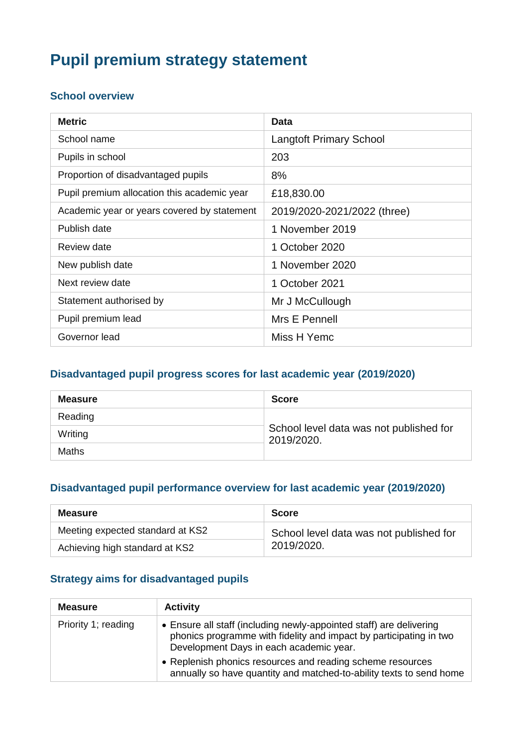# **Pupil premium strategy statement**

#### **School overview**

| <b>Metric</b>                               | Data                           |
|---------------------------------------------|--------------------------------|
| School name                                 | <b>Langtoft Primary School</b> |
| Pupils in school                            | 203                            |
| Proportion of disadvantaged pupils          | 8%                             |
| Pupil premium allocation this academic year | £18,830.00                     |
| Academic year or years covered by statement | 2019/2020-2021/2022 (three)    |
| Publish date                                | 1 November 2019                |
| Review date                                 | 1 October 2020                 |
| New publish date                            | 1 November 2020                |
| Next review date                            | 1 October 2021                 |
| Statement authorised by                     | Mr J McCullough                |
| Pupil premium lead                          | Mrs E Pennell                  |
| Governor lead                               | Miss H Yemc                    |

#### **Disadvantaged pupil progress scores for last academic year (2019/2020)**

| <b>Measure</b> | <b>Score</b>                                          |  |
|----------------|-------------------------------------------------------|--|
| Reading        |                                                       |  |
| Writing        | School level data was not published for<br>2019/2020. |  |
| <b>Maths</b>   |                                                       |  |

#### **Disadvantaged pupil performance overview for last academic year (2019/2020)**

| <b>Measure</b>                   | <b>Score</b>                            |  |
|----------------------------------|-----------------------------------------|--|
| Meeting expected standard at KS2 | School level data was not published for |  |
| Achieving high standard at KS2   | 2019/2020.                              |  |

#### **Strategy aims for disadvantaged pupils**

| <b>Measure</b>      | <b>Activity</b>                                                                                                                                                                      |
|---------------------|--------------------------------------------------------------------------------------------------------------------------------------------------------------------------------------|
| Priority 1; reading | • Ensure all staff (including newly-appointed staff) are delivering<br>phonics programme with fidelity and impact by participating in two<br>Development Days in each academic year. |
|                     | • Replenish phonics resources and reading scheme resources<br>annually so have quantity and matched-to-ability texts to send home                                                    |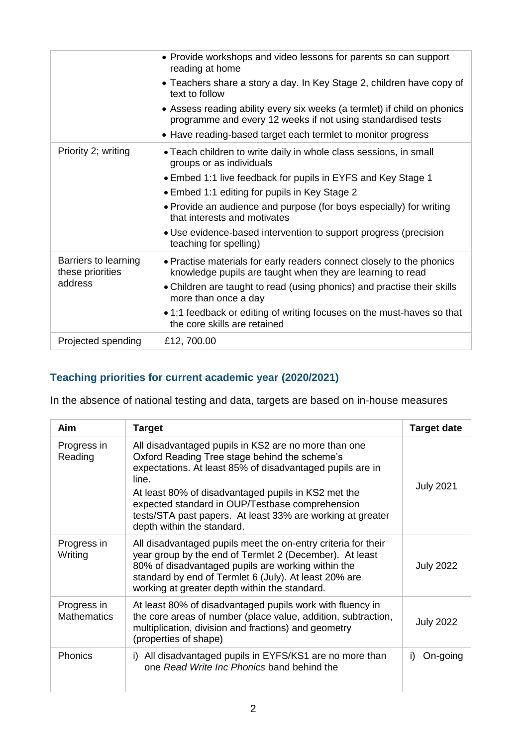|                                                     | • Provide workshops and video lessons for parents so can support<br>reading at home<br>• Teachers share a story a day. In Key Stage 2, children have copy of<br>text to follow<br>• Assess reading ability every six weeks (a termlet) if child on phonics<br>programme and every 12 weeks if not using standardised tests<br>• Have reading-based target each termlet to monitor progress                          |
|-----------------------------------------------------|---------------------------------------------------------------------------------------------------------------------------------------------------------------------------------------------------------------------------------------------------------------------------------------------------------------------------------------------------------------------------------------------------------------------|
| Priority 2; writing                                 | • Teach children to write daily in whole class sessions, in small<br>groups or as individuals<br>• Embed 1:1 live feedback for pupils in EYFS and Key Stage 1<br>• Embed 1:1 editing for pupils in Key Stage 2<br>• Provide an audience and purpose (for boys especially) for writing<br>that interests and motivates<br>• Use evidence-based intervention to support progress (precision<br>teaching for spelling) |
| Barriers to learning<br>these priorities<br>address | • Practise materials for early readers connect closely to the phonics<br>knowledge pupils are taught when they are learning to read<br>• Children are taught to read (using phonics) and practise their skills<br>more than once a day<br>• 1:1 feedback or editing of writing focuses on the must-haves so that<br>the core skills are retained                                                                    |
| Projected spending                                  | £12, 700.00                                                                                                                                                                                                                                                                                                                                                                                                         |

### **Teaching priorities for current academic year (2020/2021)**

In the absence of national testing and data, targets are based on in-house measures

| Aim                               | <b>Target</b>                                                                                                                                                                                                                                                                                                                                                                     | <b>Target date</b> |
|-----------------------------------|-----------------------------------------------------------------------------------------------------------------------------------------------------------------------------------------------------------------------------------------------------------------------------------------------------------------------------------------------------------------------------------|--------------------|
| Progress in<br>Reading            | All disadvantaged pupils in KS2 are no more than one<br>Oxford Reading Tree stage behind the scheme's<br>expectations. At least 85% of disadvantaged pupils are in<br>line.<br>At least 80% of disadvantaged pupils in KS2 met the<br>expected standard in OUP/Testbase comprehension<br>tests/STA past papers. At least 33% are working at greater<br>depth within the standard. | <b>July 2021</b>   |
| Progress in<br>Writing            | All disadvantaged pupils meet the on-entry criteria for their<br>year group by the end of Termlet 2 (December). At least<br>80% of disadvantaged pupils are working within the<br>standard by end of Termlet 6 (July). At least 20% are<br>working at greater depth within the standard.                                                                                          | <b>July 2022</b>   |
| Progress in<br><b>Mathematics</b> | At least 80% of disadvantaged pupils work with fluency in<br>the core areas of number (place value, addition, subtraction,<br>multiplication, division and fractions) and geometry<br>(properties of shape)                                                                                                                                                                       | <b>July 2022</b>   |
| <b>Phonics</b>                    | i) All disadvantaged pupils in EYFS/KS1 are no more than<br>one Read Write Inc Phonics band behind the                                                                                                                                                                                                                                                                            | On-going<br>i)     |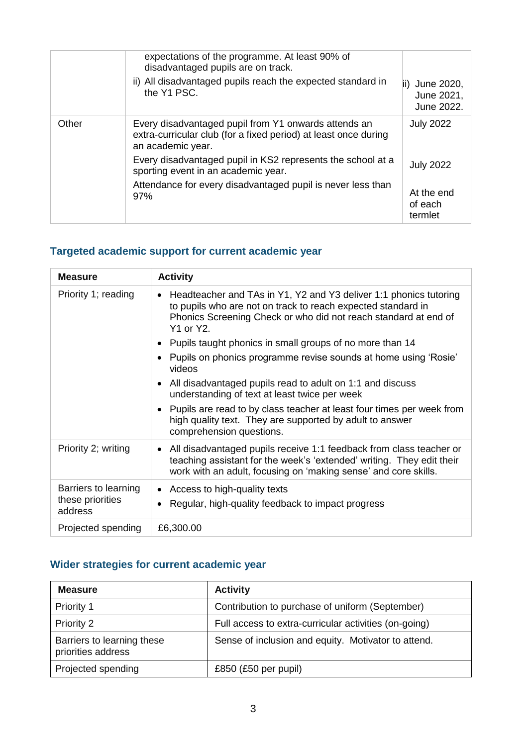|       | expectations of the programme. At least 90% of<br>disadvantaged pupils are on track.<br>ii) All disadvantaged pupils reach the expected standard in<br>the Y1 PSC.                                                                                                                                                       | June 2020,<br>June 2021,<br>June 2022.                                   |
|-------|--------------------------------------------------------------------------------------------------------------------------------------------------------------------------------------------------------------------------------------------------------------------------------------------------------------------------|--------------------------------------------------------------------------|
| Other | Every disadvantaged pupil from Y1 onwards attends an<br>extra-curricular club (for a fixed period) at least once during<br>an academic year.<br>Every disadvantaged pupil in KS2 represents the school at a<br>sporting event in an academic year.<br>Attendance for every disadvantaged pupil is never less than<br>97% | <b>July 2022</b><br><b>July 2022</b><br>At the end<br>of each<br>termlet |

### **Targeted academic support for current academic year**

| <b>Measure</b>              | <b>Activity</b>                                                                                                                                                                                                                |
|-----------------------------|--------------------------------------------------------------------------------------------------------------------------------------------------------------------------------------------------------------------------------|
| Priority 1; reading         | Headteacher and TAs in Y1, Y2 and Y3 deliver 1:1 phonics tutoring<br>$\bullet$<br>to pupils who are not on track to reach expected standard in<br>Phonics Screening Check or who did not reach standard at end of<br>Y1 or Y2. |
|                             | Pupils taught phonics in small groups of no more than 14<br>٠                                                                                                                                                                  |
|                             | Pupils on phonics programme revise sounds at home using 'Rosie'<br>$\bullet$<br>videos                                                                                                                                         |
|                             | All disadvantaged pupils read to adult on 1:1 and discuss<br>$\bullet$<br>understanding of text at least twice per week                                                                                                        |
|                             | • Pupils are read to by class teacher at least four times per week from<br>high quality text. They are supported by adult to answer<br>comprehension questions.                                                                |
| Priority 2; writing         | All disadvantaged pupils receive 1:1 feedback from class teacher or<br>٠<br>teaching assistant for the week's 'extended' writing. They edit their<br>work with an adult, focusing on 'making sense' and core skills.           |
| Barriers to learning        | Access to high-quality texts<br>$\bullet$                                                                                                                                                                                      |
| these priorities<br>address | Regular, high-quality feedback to impact progress<br>٠                                                                                                                                                                         |
| Projected spending          | £6,300.00                                                                                                                                                                                                                      |

### **Wider strategies for current academic year**

| <b>Measure</b>                                   | <b>Activity</b>                                       |
|--------------------------------------------------|-------------------------------------------------------|
| Priority 1                                       | Contribution to purchase of uniform (September)       |
| Priority 2                                       | Full access to extra-curricular activities (on-going) |
| Barriers to learning these<br>priorities address | Sense of inclusion and equity. Motivator to attend.   |
| Projected spending                               | £850 $(E50$ per pupil)                                |